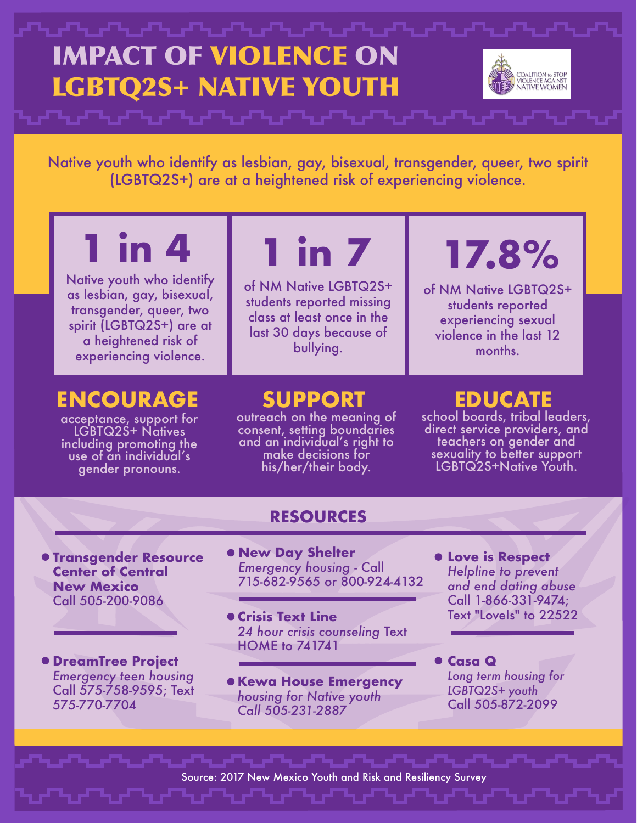### IMPACT OF VIOLENCE ON LGBTQ2S+ NATIVE YOUTH



Native youth who identify as lesbian, gay, bisexual, transgender, queer, two spirit (LGBTQ2S+) are at a heightened risk of experiencing violence.

## **1 in 4**

Native youth who identify as lesbian, gay, bisexual, transgender, queer, two spirit (LGBTQ2S+) are at a heightened risk of experiencing violence.

# **1 in 7**

of NM Native LGBTQ2S+ students reported missing class at least once in the last 30 days because of bullying.

## **17.8%**

of NM Native LGBTQ2S+ students reported experiencing sexual violence in the last 12 months.

### **ENCOURAGE SUPPORT EDUCATE**

acceptance, support for LGBTQ2S+ Natives including promoting the use of an individual's gender pronouns.

outreach on the meaning of consent, setting boundaries and an individual's right to make decisions for his/her/their body.

school boards, tribal leaders, direct service providers, and teachers on gender and sexuality to better support LGBTQ2S+Native Youth.

**Transgender Resource Center of Central New Mexico** Call 505-200-9086

**DreamTree Project** *Emergency teen housing* Call 575-758-9595; Text 575-770-7704

**New Day Shelter**  *Emergency housing* - Call

**RESOURCES**

- 715-682-9565 or 800-924-4132
- **Crisis Text Line** *24 hour crisis counseling* Text HOME to 741741
- **Kewa House Emergency** *housing for Native youth Call 505-231-2887*
- **Love is Respect** *Helpline to prevent and end dating abuse* Call 1-866-331-9474; Text "Lovels" to 22522

**Casa Q** *Long term housing for LGBTQ2S+ youth* Call 505-872-2099

Source: 2017 New Mexico Youth and Risk and Resiliency Survey